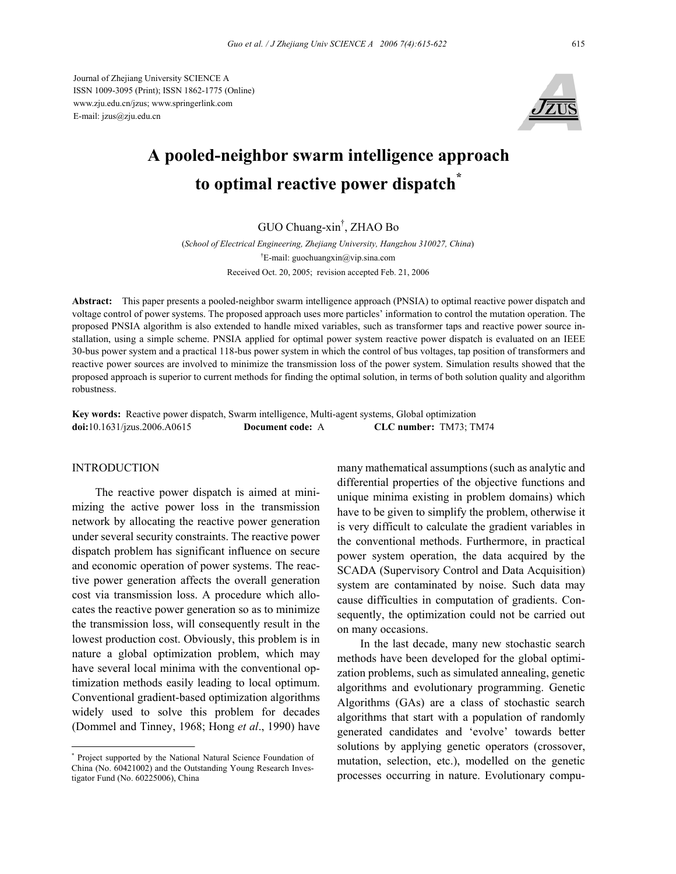Journal of Zhejiang University SCIENCE A ISSN 1009-3095 (Print); ISSN 1862-1775 (Online) www.zju.edu.cn/jzus; www.springerlink.com E-mail: jzus@zju.edu.cn



# **A pooled-neighbor swarm intelligence approach to optimal reactive power dispatch\***

# GUO Chuang-xin† , ZHAO Bo

(*School of Electrical Engineering, Zhejiang University, Hangzhou 310027, China*) † E-mail: guochuangxin@vip.sina.com Received Oct. 20, 2005; revision accepted Feb. 21, 2006

**Abstract:** This paper presents a pooled-neighbor swarm intelligence approach (PNSIA) to optimal reactive power dispatch and voltage control of power systems. The proposed approach uses more particles' information to control the mutation operation. The proposed PNSIA algorithm is also extended to handle mixed variables, such as transformer taps and reactive power source installation, using a simple scheme. PNSIA applied for optimal power system reactive power dispatch is evaluated on an IEEE 30-bus power system and a practical 118-bus power system in which the control of bus voltages, tap position of transformers and reactive power sources are involved to minimize the transmission loss of the power system. Simulation results showed that the proposed approach is superior to current methods for finding the optimal solution, in terms of both solution quality and algorithm robustness.

**Key words:** Reactive power dispatch, Swarm intelligence, Multi-agent systems, Global optimization **doi:**10.1631/jzus.2006.A0615 **Document code:** A **CLC number:** TM73; TM74

## INTRODUCTION

The reactive power dispatch is aimed at minimizing the active power loss in the transmission network by allocating the reactive power generation under several security constraints. The reactive power dispatch problem has significant influence on secure and economic operation of power systems. The reactive power generation affects the overall generation cost via transmission loss. A procedure which allocates the reactive power generation so as to minimize the transmission loss, will consequently result in the lowest production cost. Obviously, this problem is in nature a global optimization problem, which may have several local minima with the conventional optimization methods easily leading to local optimum. Conventional gradient-based optimization algorithms widely used to solve this problem for decades (Dommel and Tinney, 1968; Hong *et al*., 1990) have many mathematical assumptions (such as analytic and differential properties of the objective functions and unique minima existing in problem domains) which have to be given to simplify the problem, otherwise it is very difficult to calculate the gradient variables in the conventional methods. Furthermore, in practical power system operation, the data acquired by the SCADA (Supervisory Control and Data Acquisition) system are contaminated by noise. Such data may cause difficulties in computation of gradients. Consequently, the optimization could not be carried out on many occasions.

In the last decade, many new stochastic search methods have been developed for the global optimization problems, such as simulated annealing, genetic algorithms and evolutionary programming. Genetic Algorithms (GAs) are a class of stochastic search algorithms that start with a population of randomly generated candidates and 'evolve' towards better solutions by applying genetic operators (crossover, mutation, selection, etc.), modelled on the genetic processes occurring in nature. Evolutionary compu-

<sup>\*</sup> Project supported by the National Natural Science Foundation of China (No. 60421002) and the Outstanding Young Research Investigator Fund (No. 60225006), China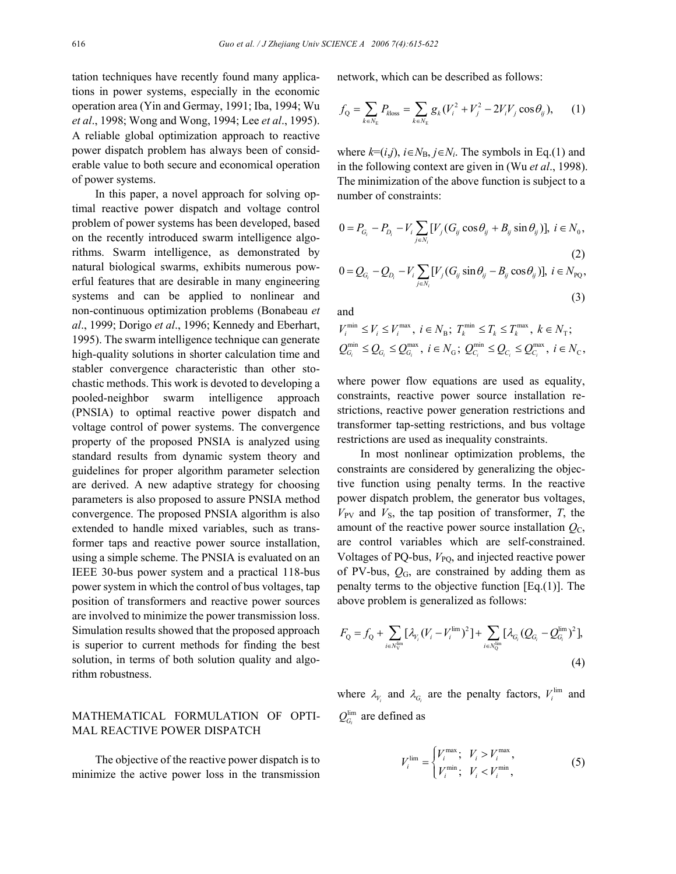tation techniques have recently found many applications in power systems, especially in the economic operation area (Yin and Germay, 1991; Iba, 1994; Wu *et al*., 1998; Wong and Wong, 1994; Lee *et al*., 1995). A reliable global optimization approach to reactive power dispatch problem has always been of considerable value to both secure and economical operation of power systems.

In this paper, a novel approach for solving optimal reactive power dispatch and voltage control problem of power systems has been developed, based on the recently introduced swarm intelligence algorithms. Swarm intelligence, as demonstrated by natural biological swarms, exhibits numerous powerful features that are desirable in many engineering systems and can be applied to nonlinear and non-continuous optimization problems (Bonabeau *et al*., 1999; Dorigo *et al*., 1996; Kennedy and Eberhart, 1995). The swarm intelligence technique can generate high-quality solutions in shorter calculation time and stabler convergence characteristic than other stochastic methods. This work is devoted to developing a pooled-neighbor swarm intelligence approach (PNSIA) to optimal reactive power dispatch and voltage control of power systems. The convergence property of the proposed PNSIA is analyzed using standard results from dynamic system theory and guidelines for proper algorithm parameter selection are derived. A new adaptive strategy for choosing parameters is also proposed to assure PNSIA method convergence. The proposed PNSIA algorithm is also extended to handle mixed variables, such as transformer taps and reactive power source installation, using a simple scheme. The PNSIA is evaluated on an IEEE 30-bus power system and a practical 118-bus power system in which the control of bus voltages, tap position of transformers and reactive power sources are involved to minimize the power transmission loss. Simulation results showed that the proposed approach is superior to current methods for finding the best solution, in terms of both solution quality and algorithm robustness.

# MATHEMATICAL FORMULATION OF OPTI-MAL REACTIVE POWER DISPATCH

The objective of the reactive power dispatch is to minimize the active power loss in the transmission network, which can be described as follows:

$$
f_{\rm Q} = \sum_{k \in N_{\rm E}} P_{k \rm loss} = \sum_{k \in N_{\rm E}} g_k (V_i^2 + V_j^2 - 2V_i V_j \cos \theta_{ij}), \qquad (1)
$$

where  $k=(i,j)$ ,  $i \in N_B$ ,  $j \in N_i$ . The symbols in Eq.(1) and in the following context are given in (Wu *et al*., 1998). The minimization of the above function is subject to a number of constraints:

$$
0 = P_{G_i} - P_{D_i} - V_i \sum_{j \in N_i} [V_j (G_{ij} \cos \theta_{ij} + B_{ij} \sin \theta_{ij})], i \in N_0,
$$
  
\n
$$
0 = Q_{G_i} - Q_{D_i} - V_i \sum_{j \in N_i} [V_j (G_{ij} \sin \theta_{ij} - B_{ij} \cos \theta_{ij})], i \in N_{PQ},
$$
  
\n(2)

and

$$
V_i^{\min} \le V_i \le V_i^{\max}, i \in N_B; T_k^{\min} \le T_k \le T_k^{\max}, k \in N_T; Q_{G_i}^{\min} \le Q_{G_i} \le Q_{G_i}^{\max}, i \in N_G; Q_{C_i}^{\min} \le Q_{C_i} \le Q_{C_i}^{\max}, i \in N_C,
$$

(3)

where power flow equations are used as equality, constraints, reactive power source installation restrictions, reactive power generation restrictions and transformer tap-setting restrictions, and bus voltage restrictions are used as inequality constraints.

In most nonlinear optimization problems, the constraints are considered by generalizing the objective function using penalty terms. In the reactive power dispatch problem, the generator bus voltages,  $V_{\text{PV}}$  and  $V_{\text{S}}$ , the tap position of transformer, *T*, the amount of the reactive power source installation  $Q_C$ , are control variables which are self-constrained. Voltages of PQ-bus,  $V_{\text{PO}}$ , and injected reactive power of PV-bus,  $Q_G$ , are constrained by adding them as penalty terms to the objective function [Eq.(1)]. The above problem is generalized as follows:

$$
F_{Q} = f_{Q} + \sum_{i \in N_{V}^{\text{lim}}} [\lambda_{V_{i}} (V_{i} - V_{i}^{\text{lim}})^{2}] + \sum_{i \in N_{Q}^{\text{lim}}} [\lambda_{G_{i}} (Q_{G_{i}} - Q_{G_{i}}^{\text{lim}})^{2}],
$$
\n(4)

where  $\lambda_{V_i}$  and  $\lambda_{G_i}$  are the penalty factors,  $V_i^{\text{lim}}$  and  $Q_{G_i}^{\text{lim}}$  are defined as

$$
V_i^{\text{lim}} = \begin{cases} V_i^{\text{max}}; & V_i > V_i^{\text{max}}, \\ V_i^{\text{min}}; & V_i < V_i^{\text{min}}, \end{cases}
$$
 (5)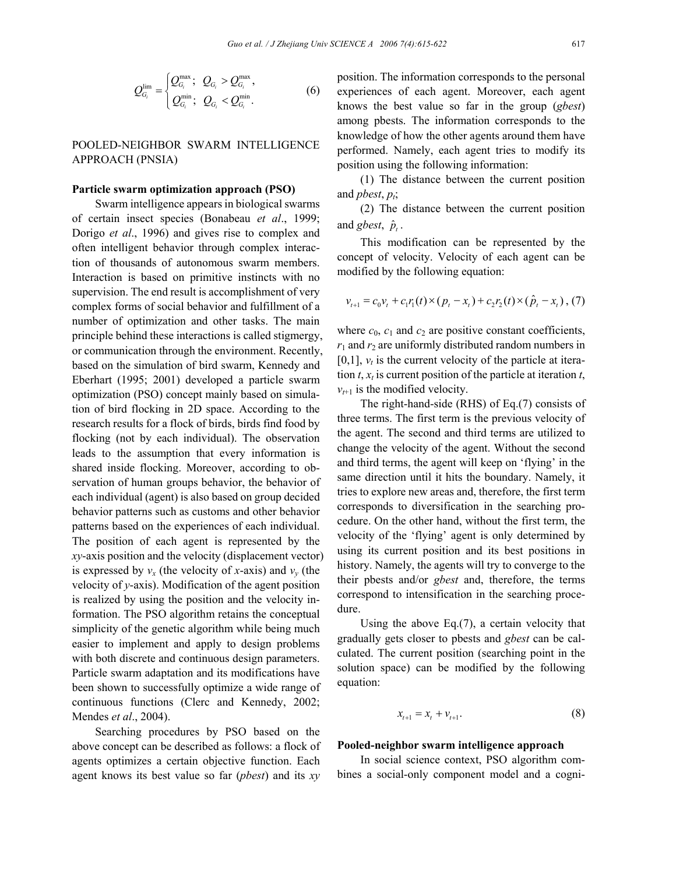# POOLED-NEIGHBOR SWARM INTELLIGENCE APPROACH (PNSIA)

## **Particle swarm optimization approach (PSO)**

lim

*i*

*G*

Swarm intelligence appears in biological swarms of certain insect species (Bonabeau *et al*., 1999; Dorigo *et al*., 1996) and gives rise to complex and often intelligent behavior through complex interaction of thousands of autonomous swarm members. Interaction is based on primitive instincts with no supervision. The end result is accomplishment of very complex forms of social behavior and fulfillment of a number of optimization and other tasks. The main principle behind these interactions is called stigmergy, or communication through the environment. Recently, based on the simulation of bird swarm, Kennedy and Eberhart (1995; 2001) developed a particle swarm optimization (PSO) concept mainly based on simulation of bird flocking in 2D space. According to the research results for a flock of birds, birds find food by flocking (not by each individual). The observation leads to the assumption that every information is shared inside flocking. Moreover, according to observation of human groups behavior, the behavior of each individual (agent) is also based on group decided behavior patterns such as customs and other behavior patterns based on the experiences of each individual. The position of each agent is represented by the *xy*-axis position and the velocity (displacement vector) is expressed by  $v_x$  (the velocity of *x*-axis) and  $v_y$  (the velocity of *y*-axis). Modification of the agent position is realized by using the position and the velocity information. The PSO algorithm retains the conceptual simplicity of the genetic algorithm while being much easier to implement and apply to design problems with both discrete and continuous design parameters. Particle swarm adaptation and its modifications have been shown to successfully optimize a wide range of continuous functions (Clerc and Kennedy, 2002; Mendes *et al*., 2004).

Searching procedures by PSO based on the above concept can be described as follows: a flock of agents optimizes a certain objective function. Each agent knows its best value so far (*pbest*) and its *xy* position. The information corresponds to the personal experiences of each agent. Moreover, each agent knows the best value so far in the group (*gbest*) among pbests. The information corresponds to the knowledge of how the other agents around them have performed. Namely, each agent tries to modify its position using the following information:

(1) The distance between the current position and *pbest*,  $p_t$ ;

(2) The distance between the current position and *gbest*,  $\hat{p}_t$ .

This modification can be represented by the concept of velocity. Velocity of each agent can be modified by the following equation:

$$
v_{t+1} = c_0 v_t + c_1 r_1(t) \times (p_t - x_t) + c_2 r_2(t) \times (\hat{p}_t - x_t), (7)
$$

where  $c_0$ ,  $c_1$  and  $c_2$  are positive constant coefficients,  $r_1$  and  $r_2$  are uniformly distributed random numbers in  $[0,1]$ ,  $v_t$  is the current velocity of the particle at iteration  $t$ ,  $x_t$  is current position of the particle at iteration  $t$ ,  $v_{t+1}$  is the modified velocity.

The right-hand-side (RHS) of Eq.(7) consists of three terms. The first term is the previous velocity of the agent. The second and third terms are utilized to change the velocity of the agent. Without the second and third terms, the agent will keep on 'flying' in the same direction until it hits the boundary. Namely, it tries to explore new areas and, therefore, the first term corresponds to diversification in the searching procedure. On the other hand, without the first term, the velocity of the 'flying' agent is only determined by using its current position and its best positions in history. Namely, the agents will try to converge to the their pbests and/or *gbest* and, therefore, the terms correspond to intensification in the searching procedure.

Using the above Eq.(7), a certain velocity that gradually gets closer to pbests and *gbest* can be calculated. The current position (searching point in the solution space) can be modified by the following equation:

$$
x_{t+1} = x_t + v_{t+1}.\tag{8}
$$

#### **Pooled-neighbor swarm intelligence approach**

In social science context, PSO algorithm combines a social-only component model and a cogni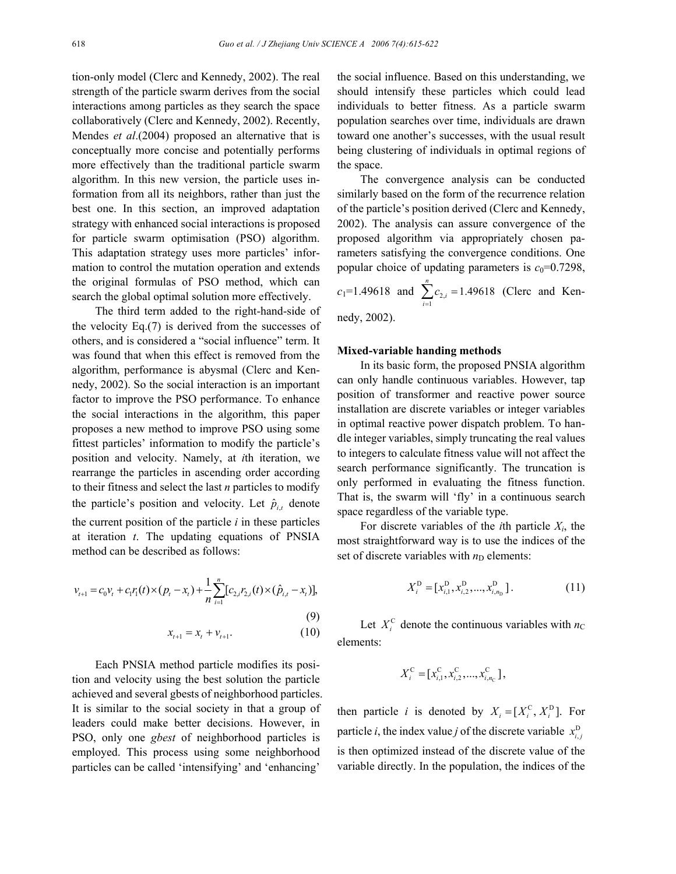tion-only model (Clerc and Kennedy, 2002). The real strength of the particle swarm derives from the social interactions among particles as they search the space collaboratively (Clerc and Kennedy, 2002). Recently, Mendes *et al*.(2004) proposed an alternative that is conceptually more concise and potentially performs more effectively than the traditional particle swarm algorithm. In this new version, the particle uses information from all its neighbors, rather than just the best one. In this section, an improved adaptation strategy with enhanced social interactions is proposed for particle swarm optimisation (PSO) algorithm. This adaptation strategy uses more particles' information to control the mutation operation and extends the original formulas of PSO method, which can search the global optimal solution more effectively.

The third term added to the right-hand-side of the velocity Eq.(7) is derived from the successes of others, and is considered a "social influence" term. It was found that when this effect is removed from the algorithm, performance is abysmal (Clerc and Kennedy, 2002). So the social interaction is an important factor to improve the PSO performance. To enhance the social interactions in the algorithm, this paper proposes a new method to improve PSO using some fittest particles' information to modify the particle's position and velocity. Namely, at *i*th iteration, we rearrange the particles in ascending order according to their fitness and select the last *n* particles to modify the particle's position and velocity. Let  $\hat{p}_{i,t}$  denote the current position of the particle *i* in these particles at iteration *t*. The updating equations of PNSIA method can be described as follows:

$$
v_{t+1} = c_0 v_t + c_1 r_1(t) \times (p_t - x_t) + \frac{1}{n} \sum_{i=1}^n [c_{2,i} r_{2,i}(t) \times (\hat{p}_{i,t} - x_t)],
$$
\n(9)

$$
x_{t+1} = x_t + v_{t+1}.
$$
 (10)

Each PNSIA method particle modifies its position and velocity using the best solution the particle achieved and several gbests of neighborhood particles. It is similar to the social society in that a group of leaders could make better decisions. However, in PSO, only one *gbest* of neighborhood particles is employed. This process using some neighborhood particles can be called 'intensifying' and 'enhancing'

the social influence. Based on this understanding, we should intensify these particles which could lead individuals to better fitness. As a particle swarm population searches over time, individuals are drawn toward one another's successes, with the usual result being clustering of individuals in optimal regions of the space.

The convergence analysis can be conducted similarly based on the form of the recurrence relation of the particle's position derived (Clerc and Kennedy, 2002). The analysis can assure convergence of the proposed algorithm via appropriately chosen parameters satisfying the convergence conditions. One popular choice of updating parameters is  $c_0=0.7298$ ,

 $c_1$ =1.49618 and  $\sum_{i=1}^{n} c_{2,i}$  $\sum_{i=1}^{n}$  *c*<sub>2*i*</sub> = 1.49618  $\sum_{i=1}$ **<sup>** $\sum_{i=1}$ **</sup>** *c*  $\sum_{i=1}^{ } c_{2,i} = 1.49618$  (Clerc and Kennedy, 2002).

## **Mixed-variable handing methods**

In its basic form, the proposed PNSIA algorithm can only handle continuous variables. However, tap position of transformer and reactive power source installation are discrete variables or integer variables in optimal reactive power dispatch problem. To handle integer variables, simply truncating the real values to integers to calculate fitness value will not affect the search performance significantly. The truncation is only performed in evaluating the fitness function. That is, the swarm will 'fly' in a continuous search space regardless of the variable type.

For discrete variables of the *i*th particle *Xi*, the most straightforward way is to use the indices of the set of discrete variables with  $n<sub>D</sub>$  elements:

$$
X_i^D = [x_{i,1}^D, x_{i,2}^D, ..., x_{i,n_D}^D].
$$
 (11)

Let  $X_i^c$  denote the continuous variables with  $n_c$ elements:

$$
X_i^{\rm C} = [x_{i,1}^{\rm C}, x_{i,2}^{\rm C}, ..., x_{i,n_{\rm C}}^{\rm C}],
$$

then particle *i* is denoted by  $X_i = [X_i^C, X_i^D]$ . For particle *i*, the index value *j* of the discrete variable  $x_{i,j}^D$ is then optimized instead of the discrete value of the variable directly. In the population, the indices of the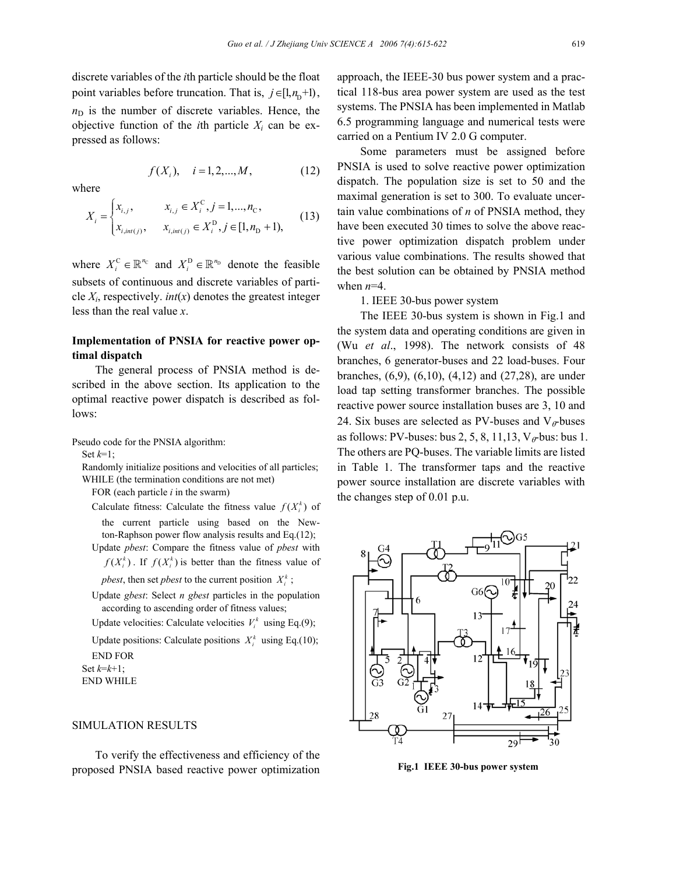discrete variables of the *i*th particle should be the float point variables before truncation. That is,  $j \in [1, n_{p}+1)$ ,  $n<sub>D</sub>$  is the number of discrete variables. Hence, the objective function of the *i*th particle  $X_i$  can be expressed as follows:

$$
f(X_i), \quad i = 1, 2, \dots, M, \tag{12}
$$

where

$$
X_{i} = \begin{cases} x_{i,j}, & x_{i,j} \in X_{i}^{C}, j = 1,...,n_{C}, \\ x_{i, int(j)}, & x_{i, int(j)} \in X_{i}^{D}, j \in [1, n_{D} + 1), \end{cases}
$$
(13)

where  $X_i^C \in \mathbb{R}^{n_C}$  and  $X_i^D \in \mathbb{R}^{n_D}$  denote the feasible subsets of continuous and discrete variables of particle  $X_i$ , respectively. *int*(*x*) denotes the greatest integer less than the real value *x*.

# **Implementation of PNSIA for reactive power optimal dispatch**

The general process of PNSIA method is described in the above section. Its application to the optimal reactive power dispatch is described as follows:

Pseudo code for the PNSIA algorithm:

Set  $k=1$ ;

Randomly initialize positions and velocities of all particles; WHILE (the termination conditions are not met)

FOR (each particle *i* in the swarm)

Calculate fitness: Calculate the fitness value  $f(X_i^k)$  of the current particle using based on the Newton-Raphson power flow analysis results and Eq.(12);

Update *pbest*: Compare the fitness value of *pbest* with  $f(X_i^k)$ . If  $f(X_i^k)$  is better than the fitness value of

*pbest*, then set *pbest* to the current position  $X_i^k$ ;

Update *gbest*: Select *n gbest* particles in the population according to ascending order of fitness values;

Update velocities: Calculate velocities  $V_i^k$  using Eq.(9);

Update positions: Calculate positions  $X_i^k$  using Eq.(10); END FOR Set *k*=*k*+1;

END WHILE

## SIMULATION RESULTS

To verify the effectiveness and efficiency of the proposed PNSIA based reactive power optimization

approach, the IEEE-30 bus power system and a practical 118-bus area power system are used as the test systems. The PNSIA has been implemented in Matlab 6.5 programming language and numerical tests were carried on a Pentium IV 2.0 G computer.

Some parameters must be assigned before PNSIA is used to solve reactive power optimization dispatch. The population size is set to 50 and the maximal generation is set to 300. To evaluate uncertain value combinations of *n* of PNSIA method, they have been executed 30 times to solve the above reactive power optimization dispatch problem under various value combinations. The results showed that the best solution can be obtained by PNSIA method when  $n=4$ .

1. IEEE 30-bus power system

The IEEE 30-bus system is shown in Fig.1 and the system data and operating conditions are given in (Wu *et al*., 1998). The network consists of 48 branches, 6 generator-buses and 22 load-buses. Four branches, (6,9), (6,10), (4,12) and (27,28), are under load tap setting transformer branches. The possible reactive power source installation buses are 3, 10 and 24. Six buses are selected as PV-buses and  $V_{\theta}$ -buses as follows: PV-buses: bus 2, 5, 8, 11, 13,  $V_{\theta}$ -bus: bus 1. The others are PQ-buses. The variable limits are listed in Table 1. The transformer taps and the reactive power source installation are discrete variables with the changes step of 0.01 p.u.



**Fig.1 IEEE 30-bus power system**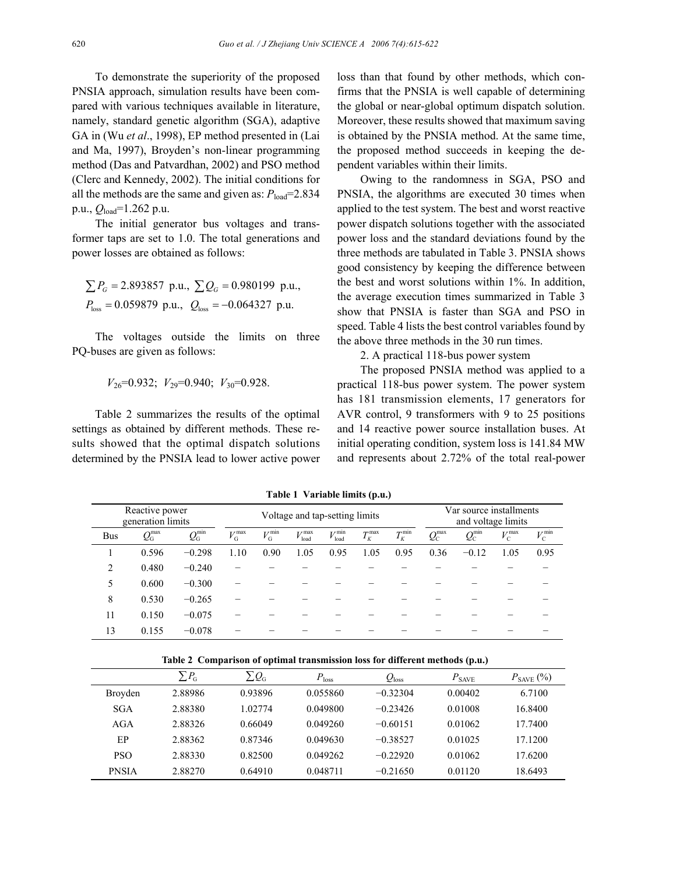To demonstrate the superiority of the proposed PNSIA approach, simulation results have been compared with various techniques available in literature, namely, standard genetic algorithm (SGA), adaptive GA in (Wu *et al*., 1998), EP method presented in (Lai and Ma, 1997), Broyden's non-linear programming method (Das and Patvardhan, 2002) and PSO method (Clerc and Kennedy, 2002). The initial conditions for all the methods are the same and given as:  $P_{load} = 2.834$ p.u.,  $Q_{load}$ =1.262 p.u.

The initial generator bus voltages and transformer taps are set to 1.0. The total generations and power losses are obtained as follows:

$$
\sum P_G = 2.893857 \text{ p.u.}, \sum Q_G = 0.980199 \text{ p.u.},
$$
  
 $P_{\text{loss}} = 0.059879 \text{ p.u.}, Q_{\text{loss}} = -0.064327 \text{ p.u.}$ 

The voltages outside the limits on three PQ-buses are given as follows:

*V*<sub>26</sub>=0.932; *V*<sub>29</sub>=0.940; *V*<sub>30</sub>=0.928.

Table 2 summarizes the results of the optimal settings as obtained by different methods. These results showed that the optimal dispatch solutions determined by the PNSIA lead to lower active power

loss than that found by other methods, which confirms that the PNSIA is well capable of determining the global or near-global optimum dispatch solution. Moreover, these results showed that maximum saving is obtained by the PNSIA method. At the same time, the proposed method succeeds in keeping the dependent variables within their limits.

Owing to the randomness in SGA, PSO and PNSIA, the algorithms are executed 30 times when applied to the test system. The best and worst reactive power dispatch solutions together with the associated power loss and the standard deviations found by the three methods are tabulated in Table 3. PNSIA shows good consistency by keeping the difference between the best and worst solutions within 1%. In addition, the average execution times summarized in Table 3 show that PNSIA is faster than SGA and PSO in speed. Table 4 lists the best control variables found by the above three methods in the 30 run times.

2. A practical 118-bus power system

The proposed PNSIA method was applied to a practical 118-bus power system. The power system has 181 transmission elements, 17 generators for AVR control, 9 transformers with 9 to 25 positions and 14 reactive power source installation buses. At initial operating condition, system loss is 141.84 MW and represents about 2.72% of the total real-power

| Reactive power<br>generation limits |                             |                                | Voltage and tap-setting limits |                       |                                |                          | Var source installments<br>and voltage limits |                           |                       |                       |                       |                       |
|-------------------------------------|-----------------------------|--------------------------------|--------------------------------|-----------------------|--------------------------------|--------------------------|-----------------------------------------------|---------------------------|-----------------------|-----------------------|-----------------------|-----------------------|
| <b>Bus</b>                          | $Q_{\text{G}}^{\text{max}}$ | $\mathcal Q_{\rm G}^{\rm min}$ | $V_G^{\max}$                   | $V_{\rm G}^{\rm min}$ | $V_{\text{load}}^{\text{max}}$ | $V_{\text{load}}^{\min}$ | $T_K^{\max}$                                  | T <sup>min</sup><br>$I_K$ | $Q_{\rm C}^{\rm max}$ | $Q_{\rm C}^{\rm min}$ | $V_{\rm C}^{\rm max}$ | $V_{\rm C}^{\rm min}$ |
|                                     | 0.596                       | $-0.298$                       | 1.10                           | 0.90                  | 1.05                           | 0.95                     | 1.05                                          | 0.95                      | 0.36                  | $-0.12$               | 1.05                  | 0.95                  |
| $\mathfrak{D}$                      | 0.480                       | $-0.240$                       |                                |                       |                                |                          |                                               |                           |                       |                       |                       |                       |
| 5                                   | 0.600                       | $-0.300$                       |                                |                       |                                |                          |                                               |                           |                       |                       |                       |                       |
| 8                                   | 0.530                       | $-0.265$                       |                                |                       |                                |                          |                                               |                           |                       |                       |                       |                       |
| 11                                  | 0.150                       | $-0.075$                       |                                |                       |                                |                          |                                               |                           |                       |                       |                       |                       |
| 13                                  | 0.155                       | $-0.078$                       |                                |                       |                                |                          |                                               |                           |                       |                       |                       |                       |

**Table 1 Variable limits (p.u.)** 

**Table 2 Comparison of optimal transmission loss for different methods (p.u.)**

|              | $\sum P_{\rm G}$ | $\Sigma\mathcal{Q}_{\text{\tiny G}}$ | $P_{\text{loss}}$ | Q <sub>loss</sub> | $P_{\text{SAVE}}$ | $P_{\text{SAVE}}(\%)$ |
|--------------|------------------|--------------------------------------|-------------------|-------------------|-------------------|-----------------------|
| Broyden      | 2.88986          | 0.93896                              | 0.055860          | $-0.32304$        | 0.00402           | 6.7100                |
| <b>SGA</b>   | 2.88380          | 1 02774                              | 0.049800          | $-0.23426$        | 0.01008           | 16.8400               |
| AGA          | 2.88326          | 0.66049                              | 0.049260          | $-0.60151$        | 0.01062           | 17.7400               |
| EP           | 2.88362          | 0.87346                              | 0.049630          | $-0.38527$        | 0.01025           | 17.1200               |
| <b>PSO</b>   | 2.88330          | 0.82500                              | 0.049262          | $-0.22920$        | 0.01062           | 17.6200               |
| <b>PNSIA</b> | 2.88270          | 0.64910                              | 0.048711          | $-0.21650$        | 0.01120           | 18.6493               |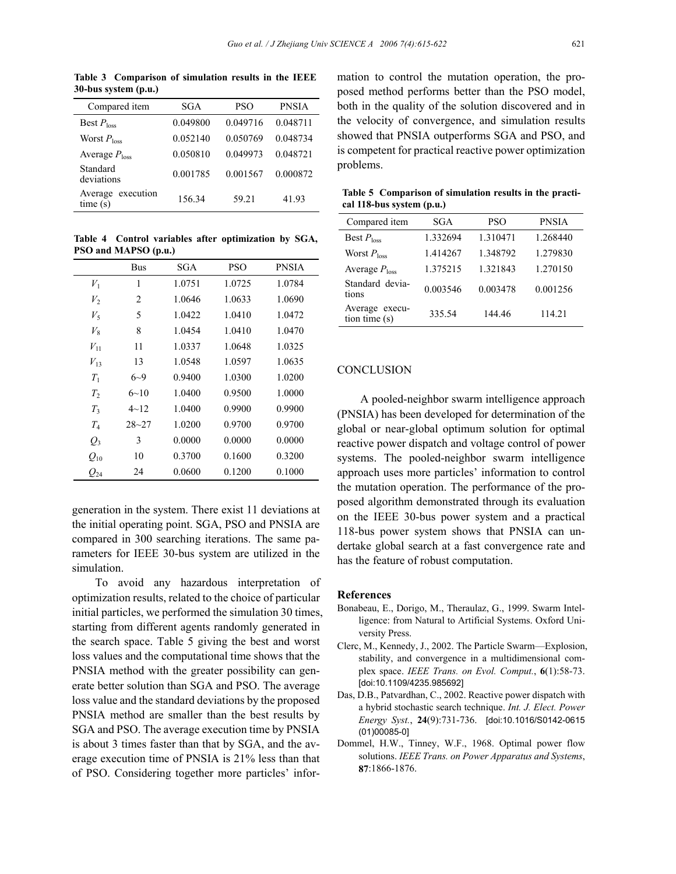**30-bus system (p.u.)** Compared item SGA PSO PNSIA Best *P*<sub>loss</sub> 0.049800 0.049716 0.048711 Worst *P*<sub>loss</sub> 0.052140 0.050769 0.048734 Average *P*<sub>loss</sub> 0.050810 0.049973 0.048721 Standard deviations 0.001785 0.001567 0.000872 Average execution 156.34 59.21 41.93

**Table 3 Comparison of simulation results in the IEEE**

**Table 4 Control variables after optimization by SGA, PSO and MAPSO (p.u.)**

|                | <b>Bus</b>     | SGA    | PSO    | <b>PNSIA</b> |
|----------------|----------------|--------|--------|--------------|
| $V_1$          | 1              | 1.0751 | 1.0725 | 1.0784       |
| $V_{2}$        | $\overline{c}$ | 1.0646 | 1.0633 | 1.0690       |
| $V_{5}$        | 5              | 1.0422 | 1.0410 | 1.0472       |
| $V_{\rm 8}$    | 8              | 1.0454 | 1 0410 | 1.0470       |
| $V_{11}$       | 11             | 1.0337 | 1.0648 | 1.0325       |
| $V_{13}$       | 13             | 1.0548 | 1.0597 | 1.0635       |
| $T_1$          | $6 - 9$        | 0.9400 | 1.0300 | 1.0200       |
| T <sub>2</sub> | $6 - 10$       | 1.0400 | 0.9500 | 1.0000       |
| $T_3$          | $4 - 12$       | 1.0400 | 0.9900 | 0.9900       |
| $T_{4}$        | $28 - 27$      | 1.0200 | 0.9700 | 0.9700       |
| $Q_3$          | 3              | 0.0000 | 0.0000 | 0.0000       |
| $Q_{10}$       | 10             | 0.3700 | 0.1600 | 0.3200       |
| $Q_{24}$       | 24             | 0.0600 | 0.1200 | 0.1000       |

generation in the system. There exist 11 deviations at the initial operating point. SGA, PSO and PNSIA are compared in 300 searching iterations. The same parameters for IEEE 30-bus system are utilized in the simulation.

To avoid any hazardous interpretation of optimization results, related to the choice of particular initial particles, we performed the simulation 30 times, starting from different agents randomly generated in the search space. Table 5 giving the best and worst loss values and the computational time shows that the PNSIA method with the greater possibility can generate better solution than SGA and PSO. The average loss value and the standard deviations by the proposed PNSIA method are smaller than the best results by SGA and PSO. The average execution time by PNSIA is about 3 times faster than that by SGA, and the average execution time of PNSIA is 21% less than that of PSO. Considering together more particles' information to control the mutation operation, the proposed method performs better than the PSO model, both in the quality of the solution discovered and in the velocity of convergence, and simulation results showed that PNSIA outperforms SGA and PSO, and is competent for practical reactive power optimization problems.

|                           | Table 5 Comparison of simulation results in the practi- |  |  |
|---------------------------|---------------------------------------------------------|--|--|
| cal 118-bus system (p.u.) |                                                         |  |  |

| Compared item                   | SGA      | <b>PSO</b> | <b>PNSIA</b> |
|---------------------------------|----------|------------|--------------|
| Best $P_{\text{loss}}$          | 1.332694 | 1.310471   | 1.268440     |
| Worst $P_{\text{loss}}$         | 1.414267 | 1.348792   | 1.279830     |
| Average $P_{\text{loss}}$       | 1.375215 | 1.321843   | 1.270150     |
| Standard devia-<br>tions        | 0.003546 | 0.003478   | 0.001256     |
| Average execu-<br>tion time (s) | 335.54   | 144.46     | 114.21       |

## **CONCLUSION**

A pooled-neighbor swarm intelligence approach (PNSIA) has been developed for determination of the global or near-global optimum solution for optimal reactive power dispatch and voltage control of power systems. The pooled-neighbor swarm intelligence approach uses more particles' information to control the mutation operation. The performance of the proposed algorithm demonstrated through its evaluation on the IEEE 30-bus power system and a practical 118-bus power system shows that PNSIA can undertake global search at a fast convergence rate and has the feature of robust computation.

#### **References**

- Bonabeau, E., Dorigo, M., Theraulaz, G., 1999. Swarm Intelligence: from Natural to Artificial Systems. Oxford University Press.
- Clerc, M., Kennedy, J., 2002. The Particle Swarm—Explosion, stability, and convergence in a multidimensional complex space. *IEEE Trans. on Evol. Comput.*, **6**(1):58-73. [doi:10.1109/4235.985692]
- Das, D.B., Patvardhan, C., 2002. Reactive power dispatch with a hybrid stochastic search technique. *Int. J. Elect. Power Energy Syst.*, **24**(9):731-736. [doi:10.1016/S0142-0615 (01)00085-0]
- Dommel, H.W., Tinney, W.F., 1968. Optimal power flow solutions. *IEEE Trans. on Power Apparatus and Systems*, **87**:1866-1876.